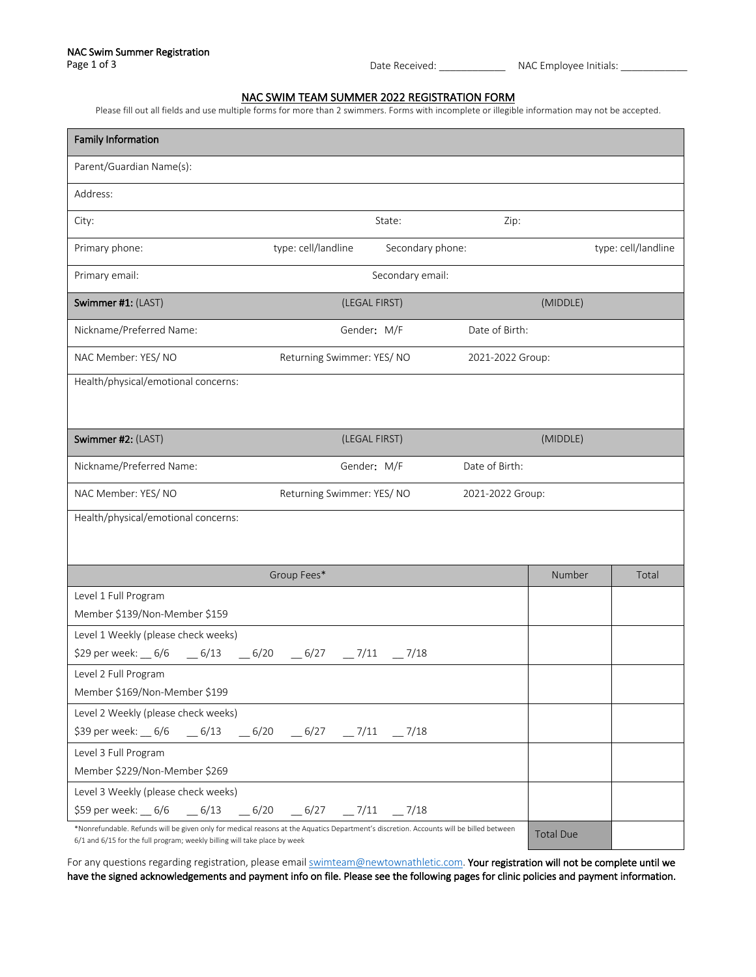## NAC SWIM TEAM SUMMER 2022 REGISTRATION FORM

Please fill out all fields and use multiple forms for more than 2 swimmers. Forms with incomplete or illegible information may not be accepted.

| <b>Family Information</b>                                                                                                                                                                                            |                           |                  |                  |                  |                     |  |
|----------------------------------------------------------------------------------------------------------------------------------------------------------------------------------------------------------------------|---------------------------|------------------|------------------|------------------|---------------------|--|
| Parent/Guardian Name(s):                                                                                                                                                                                             |                           |                  |                  |                  |                     |  |
| Address:                                                                                                                                                                                                             |                           |                  |                  |                  |                     |  |
| City:                                                                                                                                                                                                                |                           | State:           | Zip:             |                  |                     |  |
| Primary phone:                                                                                                                                                                                                       | type: cell/landline       | Secondary phone: |                  |                  | type: cell/landline |  |
| Primary email:                                                                                                                                                                                                       |                           | Secondary email: |                  |                  |                     |  |
| Swimmer #1: (LAST)                                                                                                                                                                                                   | (LEGAL FIRST)             |                  |                  | (MIDDLE)         |                     |  |
| Nickname/Preferred Name:                                                                                                                                                                                             | Gender: M/F               |                  | Date of Birth:   |                  |                     |  |
| NAC Member: YES/NO                                                                                                                                                                                                   | Returning Swimmer: YES/NO |                  | 2021-2022 Group: |                  |                     |  |
| Health/physical/emotional concerns:                                                                                                                                                                                  |                           |                  |                  |                  |                     |  |
|                                                                                                                                                                                                                      |                           |                  |                  |                  |                     |  |
| Swimmer #2: (LAST)                                                                                                                                                                                                   | (LEGAL FIRST)             |                  |                  | (MIDDLE)         |                     |  |
| Nickname/Preferred Name:                                                                                                                                                                                             | Gender: M/F               |                  | Date of Birth:   |                  |                     |  |
| NAC Member: YES/NO                                                                                                                                                                                                   | Returning Swimmer: YES/NO |                  | 2021-2022 Group: |                  |                     |  |
| Health/physical/emotional concerns:                                                                                                                                                                                  |                           |                  |                  |                  |                     |  |
|                                                                                                                                                                                                                      |                           |                  |                  |                  |                     |  |
|                                                                                                                                                                                                                      | Group Fees*               |                  |                  | Number           | Total               |  |
| Level 1 Full Program                                                                                                                                                                                                 |                           |                  |                  |                  |                     |  |
| Member \$139/Non-Member \$159                                                                                                                                                                                        |                           |                  |                  |                  |                     |  |
| Level 1 Weekly (please check weeks)                                                                                                                                                                                  |                           |                  |                  |                  |                     |  |
| \$29 per week: $\_\,$ 6/6 $\_\,$ 6/13 $\_\,$ 6/20 $\_\,$ 6/27 $\_\,$ 7/11 $\_\,$ 7/18                                                                                                                                |                           |                  |                  |                  |                     |  |
| Level 2 Full Program<br>Member \$169/Non-Member \$199                                                                                                                                                                |                           |                  |                  |                  |                     |  |
| Level 2 Weekly (please check weeks)                                                                                                                                                                                  |                           |                  |                  |                  |                     |  |
|                                                                                                                                                                                                                      |                           |                  |                  |                  |                     |  |
| Level 3 Full Program                                                                                                                                                                                                 |                           |                  |                  |                  |                     |  |
| Member \$229/Non-Member \$269                                                                                                                                                                                        |                           |                  |                  |                  |                     |  |
| Level 3 Weekly (please check weeks)                                                                                                                                                                                  |                           |                  |                  |                  |                     |  |
| \$59 per week: $\_\,$ 6/6 $\_\,$ 6/13 $\_\,$ 6/20 $\_\,$ 6/27 $\_\,$ 7/11 $\_\,$ 7/18                                                                                                                                |                           |                  |                  |                  |                     |  |
| *Nonrefundable. Refunds will be given only for medical reasons at the Aquatics Department's discretion. Accounts will be billed between<br>6/1 and 6/15 for the full program; weekly billing will take place by week |                           |                  |                  | <b>Total Due</b> |                     |  |

For any questions regarding registration, please email swimteam@newtownathletic.com. Your registration will not be complete until we have the signed acknowledgements and payment info on file. Please see the following pages for clinic policies and payment information.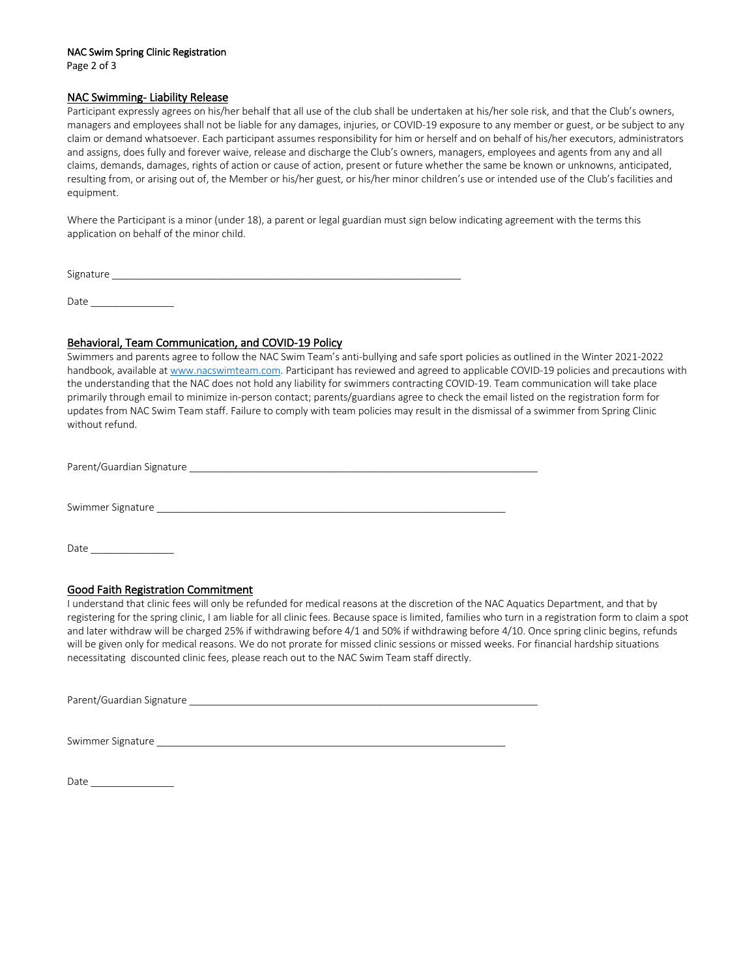#### NAC Swim Spring Clinic Registration

Page 2 of 3

### NAC Swimming- Liability Release

Participant expressly agrees on his/her behalf that all use of the club shall be undertaken at his/her sole risk, and that the Club's owners, managers and employees shall not be liable for any damages, injuries, or COVID-19 exposure to any member or guest, or be subject to any claim or demand whatsoever. Each participant assumes responsibility for him or herself and on behalf of his/her executors, administrators and assigns, does fully and forever waive, release and discharge the Club's owners, managers, employees and agents from any and all claims, demands, damages, rights of action or cause of action, present or future whether the same be known or unknowns, anticipated, resulting from, or arising out of, the Member or his/her guest, or his/her minor children's use or intended use of the Club's facilities and equipment.

Where the Participant is a minor (under 18), a parent or legal guardian must sign below indicating agreement with the terms this application on behalf of the minor child.

Signature

Date  $\Box$ 

# Behavioral, Team Communication, and COVID-19 Policy

Swimmers and parents agree to follow the NAC Swim Team's anti-bullying and safe sport policies as outlined in the Winter 2021-2022 handbook, available at www.nacswimteam.com. Participant has reviewed and agreed to applicable COVID-19 policies and precautions with the understanding that the NAC does not hold any liability for swimmers contracting COVID-19. Team communication will take place primarily through email to minimize in-person contact; parents/guardians agree to check the email listed on the registration form for updates from NAC Swim Team staff. Failure to comply with team policies may result in the dismissal of a swimmer from Spring Clinic without refund.

Parent/Guardian Signature \_\_\_\_\_\_\_\_\_\_\_\_\_\_\_\_\_\_\_\_\_\_\_\_\_\_\_\_\_\_\_\_\_\_\_\_\_\_\_\_\_\_\_\_\_\_\_\_\_\_\_\_\_\_\_\_\_\_\_\_\_\_\_

Swimmer Signature \_\_\_\_\_\_\_\_\_\_\_\_\_\_\_\_\_\_\_\_\_\_\_\_\_\_\_\_\_\_\_\_\_\_\_\_\_\_\_\_\_\_\_\_\_\_\_\_\_\_\_\_\_\_\_\_\_\_\_\_\_\_\_

Date

## Good Faith Registration Commitment

I understand that clinic fees will only be refunded for medical reasons at the discretion of the NAC Aquatics Department, and that by registering for the spring clinic, I am liable for all clinic fees. Because space is limited, families who turn in a registration form to claim a spot and later withdraw will be charged 25% if withdrawing before 4/1 and 50% if withdrawing before 4/10. Once spring clinic begins, refunds will be given only for medical reasons. We do not prorate for missed clinic sessions or missed weeks. For financial hardship situations necessitating discounted clinic fees, please reach out to the NAC Swim Team staff directly.

Parent/Guardian Signature

Swimmer Signature

Date  $\_\_$